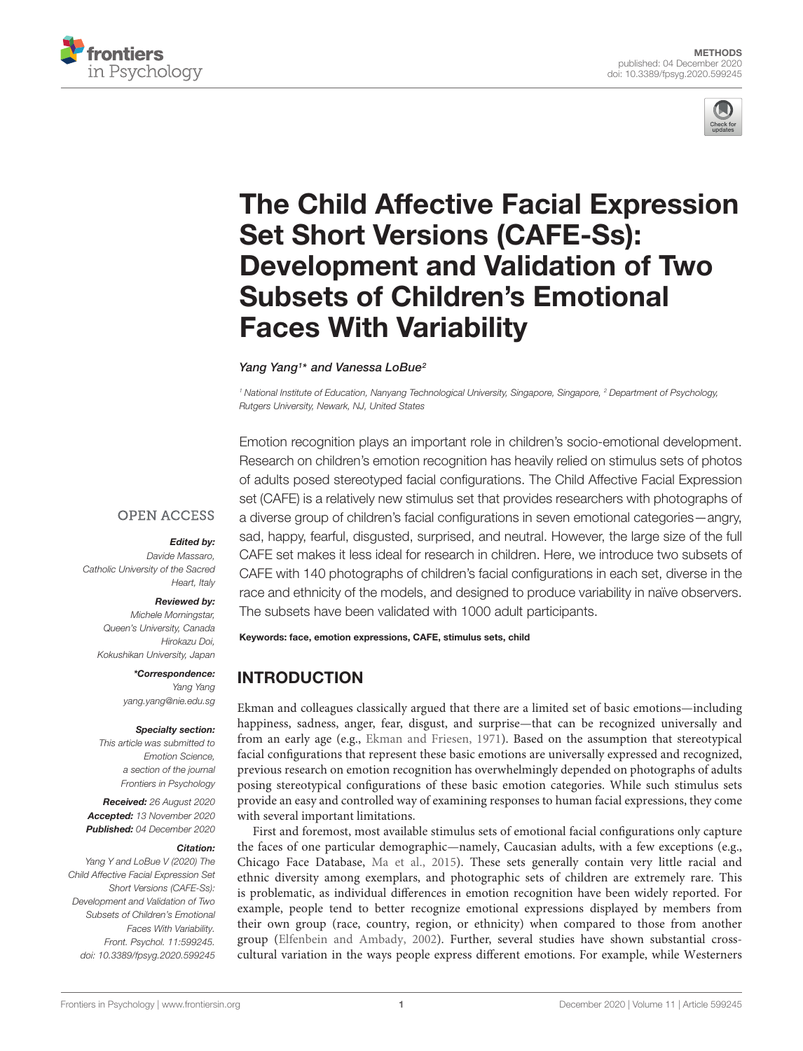



# [The Child Affective Facial Expression](https://www.frontiersin.org/articles/10.3389/fpsyg.2020.599245/full) Set Short Versions (CAFE-Ss): Development and Validation of Two Subsets of Children's Emotional Faces With Variability

# Yang Yang<sup>1\*</sup> and Vanessa LoBue<sup>2</sup>

<sup>1</sup> National Institute of Education, Nanyang Technological University, Singapore, Singapore, <sup>2</sup> Department of Psychology, Rutgers University, Newark, NJ, United States

Emotion recognition plays an important role in children's socio-emotional development. Research on children's emotion recognition has heavily relied on stimulus sets of photos of adults posed stereotyped facial configurations. The Child Affective Facial Expression set (CAFE) is a relatively new stimulus set that provides researchers with photographs of a diverse group of children's facial configurations in seven emotional categories—angry, sad, happy, fearful, disgusted, surprised, and neutral. However, the large size of the full CAFE set makes it less ideal for research in children. Here, we introduce two subsets of CAFE with 140 photographs of children's facial configurations in each set, diverse in the race and ethnicity of the models, and designed to produce variability in naïve observers. The subsets have been validated with 1000 adult participants.

Keywords: face, emotion expressions, CAFE, stimulus sets, child

# INTRODUCTION

Ekman and colleagues classically argued that there are a limited set of basic emotions—including happiness, sadness, anger, fear, disgust, and surprise—that can be recognized universally and from an early age (e.g., [Ekman and Friesen,](#page-7-0) [1971\)](#page-7-0). Based on the assumption that stereotypical facial configurations that represent these basic emotions are universally expressed and recognized, previous research on emotion recognition has overwhelmingly depended on photographs of adults posing stereotypical configurations of these basic emotion categories. While such stimulus sets provide an easy and controlled way of examining responses to human facial expressions, they come with several important limitations.

First and foremost, most available stimulus sets of emotional facial configurations only capture the faces of one particular demographic—namely, Caucasian adults, with a few exceptions (e.g., Chicago Face Database, [Ma et al.,](#page-7-1) [2015\)](#page-7-1). These sets generally contain very little racial and ethnic diversity among exemplars, and photographic sets of children are extremely rare. This is problematic, as individual differences in emotion recognition have been widely reported. For example, people tend to better recognize emotional expressions displayed by members from their own group (race, country, region, or ethnicity) when compared to those from another group [\(Elfenbein and Ambady,](#page-7-2) [2002\)](#page-7-2). Further, several studies have shown substantial crosscultural variation in the ways people express different emotions. For example, while Westerners

# **OPEN ACCESS**

#### Edited by:

Davide Massaro, Catholic University of the Sacred Heart, Italy

#### Reviewed by:

Michele Morningstar, Queen's University, Canada Hirokazu Doi, Kokushikan University, Japan

> \*Correspondence: Yang Yang yang.yang@nie.edu.sg

#### Specialty section:

This article was submitted to Emotion Science, a section of the journal Frontiers in Psychology

Received: 26 August 2020 Accepted: 13 November 2020 Published: 04 December 2020

#### Citation:

Yang Y and LoBue V (2020) The Child Affective Facial Expression Set Short Versions (CAFE-Ss): Development and Validation of Two Subsets of Children's Emotional Faces With Variability. Front. Psychol. 11:599245. doi: [10.3389/fpsyg.2020.599245](https://doi.org/10.3389/fpsyg.2020.599245)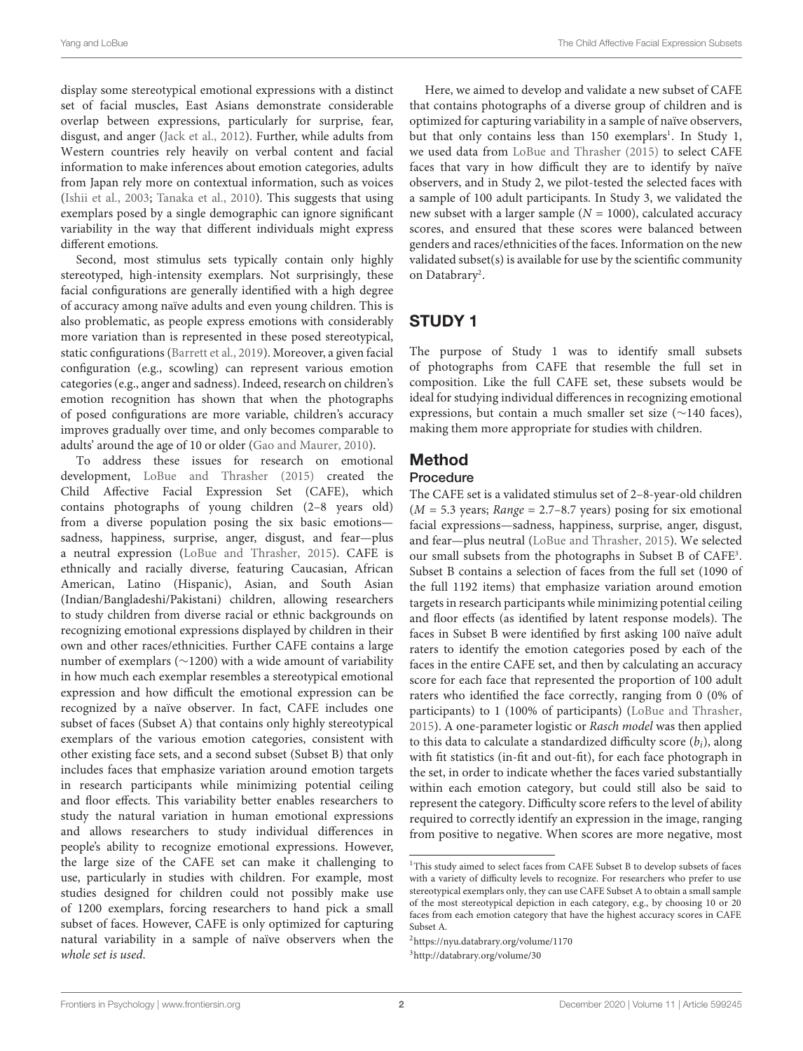display some stereotypical emotional expressions with a distinct set of facial muscles, East Asians demonstrate considerable overlap between expressions, particularly for surprise, fear, disgust, and anger [\(Jack et al.,](#page-7-3) [2012\)](#page-7-3). Further, while adults from Western countries rely heavily on verbal content and facial information to make inferences about emotion categories, adults from Japan rely more on contextual information, such as voices [\(Ishii et al.,](#page-7-4) [2003;](#page-7-4) [Tanaka et al.,](#page-7-5) [2010\)](#page-7-5). This suggests that using exemplars posed by a single demographic can ignore significant variability in the way that different individuals might express different emotions.

Second, most stimulus sets typically contain only highly stereotyped, high-intensity exemplars. Not surprisingly, these facial configurations are generally identified with a high degree of accuracy among naïve adults and even young children. This is also problematic, as people express emotions with considerably more variation than is represented in these posed stereotypical, static configurations [\(Barrett et al.,](#page-7-6) [2019\)](#page-7-6). Moreover, a given facial configuration (e.g., scowling) can represent various emotion categories (e.g., anger and sadness). Indeed, research on children's emotion recognition has shown that when the photographs of posed configurations are more variable, children's accuracy improves gradually over time, and only becomes comparable to adults' around the age of 10 or older [\(Gao and Maurer,](#page-7-7) [2010\)](#page-7-7).

To address these issues for research on emotional development, [LoBue and Thrasher](#page-7-8) [\(2015\)](#page-7-8) created the Child Affective Facial Expression Set (CAFE), which contains photographs of young children (2–8 years old) from a diverse population posing the six basic emotions sadness, happiness, surprise, anger, disgust, and fear—plus a neutral expression [\(LoBue and Thrasher,](#page-7-8) [2015\)](#page-7-8). CAFE is ethnically and racially diverse, featuring Caucasian, African American, Latino (Hispanic), Asian, and South Asian (Indian/Bangladeshi/Pakistani) children, allowing researchers to study children from diverse racial or ethnic backgrounds on recognizing emotional expressions displayed by children in their own and other races/ethnicities. Further CAFE contains a large number of exemplars (∼1200) with a wide amount of variability in how much each exemplar resembles a stereotypical emotional expression and how difficult the emotional expression can be recognized by a naïve observer. In fact, CAFE includes one subset of faces (Subset A) that contains only highly stereotypical exemplars of the various emotion categories, consistent with other existing face sets, and a second subset (Subset B) that only includes faces that emphasize variation around emotion targets in research participants while minimizing potential ceiling and floor effects. This variability better enables researchers to study the natural variation in human emotional expressions and allows researchers to study individual differences in people's ability to recognize emotional expressions. However, the large size of the CAFE set can make it challenging to use, particularly in studies with children. For example, most studies designed for children could not possibly make use of 1200 exemplars, forcing researchers to hand pick a small subset of faces. However, CAFE is only optimized for capturing natural variability in a sample of naïve observers when the whole set is used.

Here, we aimed to develop and validate a new subset of CAFE that contains photographs of a diverse group of children and is optimized for capturing variability in a sample of naïve observers, but that only contains less than [1](#page-1-0)50 exemplars<sup>1</sup>. In Study 1, we used data from [LoBue and Thrasher](#page-7-8) [\(2015\)](#page-7-8) to select CAFE faces that vary in how difficult they are to identify by naïve observers, and in Study 2, we pilot-tested the selected faces with a sample of 100 adult participants. In Study 3, we validated the new subset with a larger sample  $(N = 1000)$ , calculated accuracy scores, and ensured that these scores were balanced between genders and races/ethnicities of the faces. Information on the new validated subset(s) is available for use by the scientific community on Databrary<sup>[2](#page-1-1)</sup>.

# STUDY 1

The purpose of Study 1 was to identify small subsets of photographs from CAFE that resemble the full set in composition. Like the full CAFE set, these subsets would be ideal for studying individual differences in recognizing emotional expressions, but contain a much smaller set size (∼140 faces), making them more appropriate for studies with children.

# Method

# Procedure

The CAFE set is a validated stimulus set of 2–8-year-old children  $(M = 5.3 \text{ years};$  Range = 2.7–8.7 years) posing for six emotional facial expressions—sadness, happiness, surprise, anger, disgust, and fear—plus neutral [\(LoBue and Thrasher,](#page-7-8) [2015\)](#page-7-8). We selected our small subsets from the photographs in Subset B of CAFE<sup>[3](#page-1-2)</sup>. Subset B contains a selection of faces from the full set (1090 of the full 1192 items) that emphasize variation around emotion targets in research participants while minimizing potential ceiling and floor effects (as identified by latent response models). The faces in Subset B were identified by first asking 100 naïve adult raters to identify the emotion categories posed by each of the faces in the entire CAFE set, and then by calculating an accuracy score for each face that represented the proportion of 100 adult raters who identified the face correctly, ranging from 0 (0% of participants) to 1 (100% of participants) [\(LoBue and Thrasher,](#page-7-8) [2015\)](#page-7-8). A one-parameter logistic or Rasch model was then applied to this data to calculate a standardized difficulty score  $(b_i)$ , along with fit statistics (in-fit and out-fit), for each face photograph in the set, in order to indicate whether the faces varied substantially within each emotion category, but could still also be said to represent the category. Difficulty score refers to the level of ability required to correctly identify an expression in the image, ranging from positive to negative. When scores are more negative, most

<span id="page-1-2"></span><span id="page-1-1"></span><sup>2</sup><https://nyu.databrary.org/volume/1170> <sup>3</sup><http://databrary.org/volume/30>

<span id="page-1-0"></span><sup>&</sup>lt;sup>1</sup>This study aimed to select faces from CAFE Subset B to develop subsets of faces with a variety of difficulty levels to recognize. For researchers who prefer to use stereotypical exemplars only, they can use CAFE Subset A to obtain a small sample of the most stereotypical depiction in each category, e.g., by choosing 10 or 20 faces from each emotion category that have the highest accuracy scores in CAFE Subset A.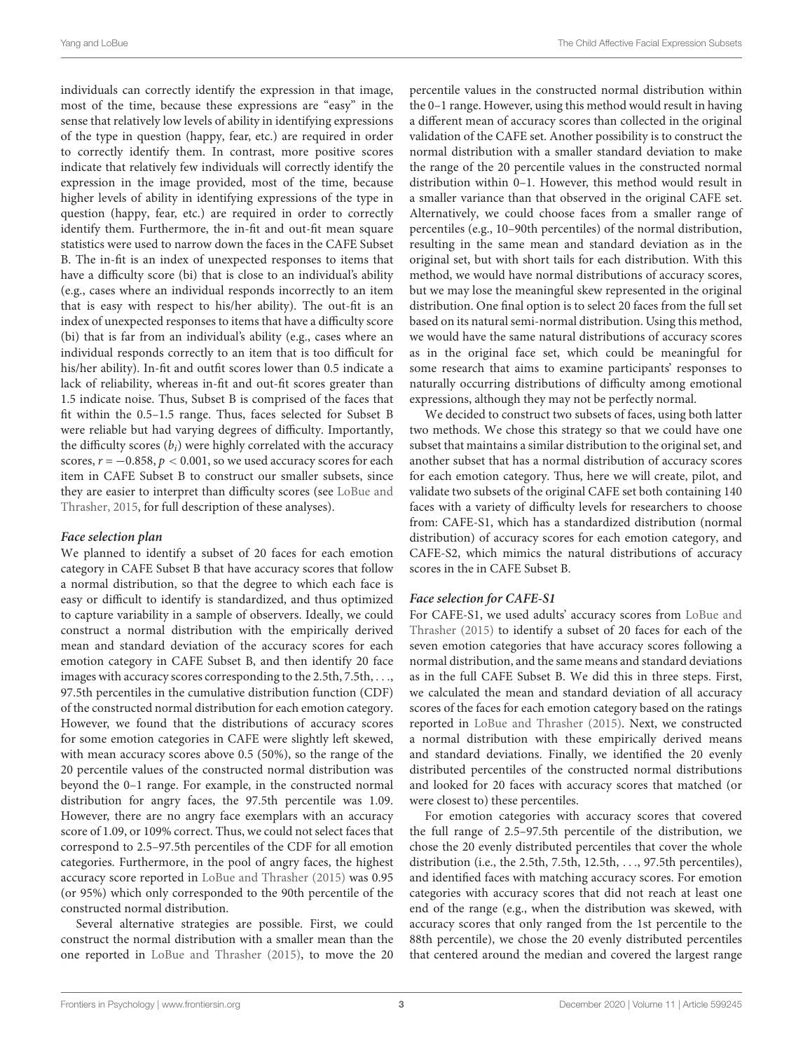individuals can correctly identify the expression in that image, most of the time, because these expressions are "easy" in the sense that relatively low levels of ability in identifying expressions of the type in question (happy, fear, etc.) are required in order to correctly identify them. In contrast, more positive scores indicate that relatively few individuals will correctly identify the expression in the image provided, most of the time, because higher levels of ability in identifying expressions of the type in question (happy, fear, etc.) are required in order to correctly identify them. Furthermore, the in-fit and out-fit mean square statistics were used to narrow down the faces in the CAFE Subset B. The in-fit is an index of unexpected responses to items that have a difficulty score (bi) that is close to an individual's ability (e.g., cases where an individual responds incorrectly to an item that is easy with respect to his/her ability). The out-fit is an index of unexpected responses to items that have a difficulty score (bi) that is far from an individual's ability (e.g., cases where an individual responds correctly to an item that is too difficult for his/her ability). In-fit and outfit scores lower than 0.5 indicate a lack of reliability, whereas in-fit and out-fit scores greater than 1.5 indicate noise. Thus, Subset B is comprised of the faces that fit within the 0.5–1.5 range. Thus, faces selected for Subset B were reliable but had varying degrees of difficulty. Importantly, the difficulty scores  $(b_i)$  were highly correlated with the accuracy scores,  $r = -0.858$ ,  $p < 0.001$ , so we used accuracy scores for each item in CAFE Subset B to construct our smaller subsets, since they are easier to interpret than difficulty scores (see [LoBue and](#page-7-8) [Thrasher,](#page-7-8) [2015,](#page-7-8) for full description of these analyses).

#### **Face selection plan**

We planned to identify a subset of 20 faces for each emotion category in CAFE Subset B that have accuracy scores that follow a normal distribution, so that the degree to which each face is easy or difficult to identify is standardized, and thus optimized to capture variability in a sample of observers. Ideally, we could construct a normal distribution with the empirically derived mean and standard deviation of the accuracy scores for each emotion category in CAFE Subset B, and then identify 20 face images with accuracy scores corresponding to the 2.5th, 7.5th, . . ., 97.5th percentiles in the cumulative distribution function (CDF) of the constructed normal distribution for each emotion category. However, we found that the distributions of accuracy scores for some emotion categories in CAFE were slightly left skewed, with mean accuracy scores above 0.5 (50%), so the range of the 20 percentile values of the constructed normal distribution was beyond the 0–1 range. For example, in the constructed normal distribution for angry faces, the 97.5th percentile was 1.09. However, there are no angry face exemplars with an accuracy score of 1.09, or 109% correct. Thus, we could not select faces that correspond to 2.5–97.5th percentiles of the CDF for all emotion categories. Furthermore, in the pool of angry faces, the highest accuracy score reported in [LoBue and Thrasher](#page-7-8) [\(2015\)](#page-7-8) was 0.95 (or 95%) which only corresponded to the 90th percentile of the constructed normal distribution.

Several alternative strategies are possible. First, we could construct the normal distribution with a smaller mean than the one reported in [LoBue and Thrasher](#page-7-8) [\(2015\)](#page-7-8), to move the 20

percentile values in the constructed normal distribution within the 0–1 range. However, using this method would result in having a different mean of accuracy scores than collected in the original validation of the CAFE set. Another possibility is to construct the normal distribution with a smaller standard deviation to make the range of the 20 percentile values in the constructed normal distribution within 0–1. However, this method would result in a smaller variance than that observed in the original CAFE set. Alternatively, we could choose faces from a smaller range of percentiles (e.g., 10–90th percentiles) of the normal distribution, resulting in the same mean and standard deviation as in the original set, but with short tails for each distribution. With this method, we would have normal distributions of accuracy scores, but we may lose the meaningful skew represented in the original distribution. One final option is to select 20 faces from the full set based on its natural semi-normal distribution. Using this method, we would have the same natural distributions of accuracy scores as in the original face set, which could be meaningful for some research that aims to examine participants' responses to naturally occurring distributions of difficulty among emotional expressions, although they may not be perfectly normal.

We decided to construct two subsets of faces, using both latter two methods. We chose this strategy so that we could have one subset that maintains a similar distribution to the original set, and another subset that has a normal distribution of accuracy scores for each emotion category. Thus, here we will create, pilot, and validate two subsets of the original CAFE set both containing 140 faces with a variety of difficulty levels for researchers to choose from: CAFE-S1, which has a standardized distribution (normal distribution) of accuracy scores for each emotion category, and CAFE-S2, which mimics the natural distributions of accuracy scores in the in CAFE Subset B.

#### **Face selection for CAFE-S1**

For CAFE-S1, we used adults' accuracy scores from [LoBue and](#page-7-8) [Thrasher](#page-7-8) [\(2015\)](#page-7-8) to identify a subset of 20 faces for each of the seven emotion categories that have accuracy scores following a normal distribution, and the same means and standard deviations as in the full CAFE Subset B. We did this in three steps. First, we calculated the mean and standard deviation of all accuracy scores of the faces for each emotion category based on the ratings reported in [LoBue and Thrasher](#page-7-8) [\(2015\)](#page-7-8). Next, we constructed a normal distribution with these empirically derived means and standard deviations. Finally, we identified the 20 evenly distributed percentiles of the constructed normal distributions and looked for 20 faces with accuracy scores that matched (or were closest to) these percentiles.

For emotion categories with accuracy scores that covered the full range of 2.5–97.5th percentile of the distribution, we chose the 20 evenly distributed percentiles that cover the whole distribution (i.e., the 2.5th, 7.5th, 12.5th, . . ., 97.5th percentiles), and identified faces with matching accuracy scores. For emotion categories with accuracy scores that did not reach at least one end of the range (e.g., when the distribution was skewed, with accuracy scores that only ranged from the 1st percentile to the 88th percentile), we chose the 20 evenly distributed percentiles that centered around the median and covered the largest range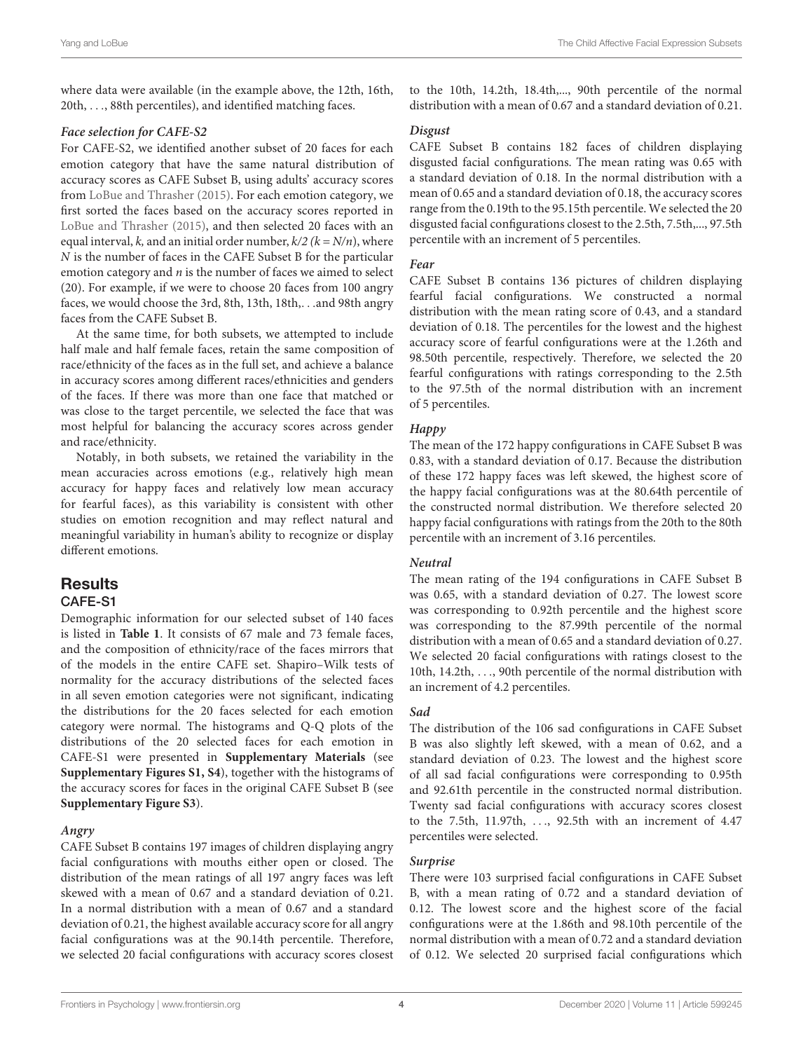where data were available (in the example above, the 12th, 16th, 20th, . . ., 88th percentiles), and identified matching faces.

# **Face selection for CAFE-S2**

For CAFE-S2, we identified another subset of 20 faces for each emotion category that have the same natural distribution of accuracy scores as CAFE Subset B, using adults' accuracy scores from [LoBue and Thrasher](#page-7-8) [\(2015\)](#page-7-8). For each emotion category, we first sorted the faces based on the accuracy scores reported in [LoBue and Thrasher](#page-7-8) [\(2015\)](#page-7-8), and then selected 20 faces with an equal interval, k, and an initial order number,  $k/2$  ( $k = N/n$ ), where N is the number of faces in the CAFE Subset B for the particular emotion category and  $n$  is the number of faces we aimed to select (20). For example, if we were to choose 20 faces from 100 angry faces, we would choose the 3rd, 8th, 13th, 18th,. . .and 98th angry faces from the CAFE Subset B.

At the same time, for both subsets, we attempted to include half male and half female faces, retain the same composition of race/ethnicity of the faces as in the full set, and achieve a balance in accuracy scores among different races/ethnicities and genders of the faces. If there was more than one face that matched or was close to the target percentile, we selected the face that was most helpful for balancing the accuracy scores across gender and race/ethnicity.

Notably, in both subsets, we retained the variability in the mean accuracies across emotions (e.g., relatively high mean accuracy for happy faces and relatively low mean accuracy for fearful faces), as this variability is consistent with other studies on emotion recognition and may reflect natural and meaningful variability in human's ability to recognize or display different emotions.

# **Results** CAFE-S1

Demographic information for our selected subset of 140 faces is listed in **[Table 1](#page-4-0)**. It consists of 67 male and 73 female faces, and the composition of ethnicity/race of the faces mirrors that of the models in the entire CAFE set. Shapiro–Wilk tests of normality for the accuracy distributions of the selected faces in all seven emotion categories were not significant, indicating the distributions for the 20 faces selected for each emotion category were normal. The histograms and Q-Q plots of the distributions of the 20 selected faces for each emotion in CAFE-S1 were presented in **[Supplementary Materials](#page-7-9)** (see **[Supplementary Figures S1, S4](#page-7-9)**), together with the histograms of the accuracy scores for faces in the original CAFE Subset B (see **[Supplementary Figure S3](#page-7-9)**).

# **Angry**

CAFE Subset B contains 197 images of children displaying angry facial configurations with mouths either open or closed. The distribution of the mean ratings of all 197 angry faces was left skewed with a mean of 0.67 and a standard deviation of 0.21. In a normal distribution with a mean of 0.67 and a standard deviation of 0.21, the highest available accuracy score for all angry facial configurations was at the 90.14th percentile. Therefore, we selected 20 facial configurations with accuracy scores closest

to the 10th, 14.2th, 18.4th,..., 90th percentile of the normal distribution with a mean of 0.67 and a standard deviation of 0.21.

## **Disgust**

CAFE Subset B contains 182 faces of children displaying disgusted facial configurations. The mean rating was 0.65 with a standard deviation of 0.18. In the normal distribution with a mean of 0.65 and a standard deviation of 0.18, the accuracy scores range from the 0.19th to the 95.15th percentile. We selected the 20 disgusted facial configurations closest to the 2.5th, 7.5th,..., 97.5th percentile with an increment of 5 percentiles.

## **Fear**

CAFE Subset B contains 136 pictures of children displaying fearful facial configurations. We constructed a normal distribution with the mean rating score of 0.43, and a standard deviation of 0.18. The percentiles for the lowest and the highest accuracy score of fearful configurations were at the 1.26th and 98.50th percentile, respectively. Therefore, we selected the 20 fearful configurations with ratings corresponding to the 2.5th to the 97.5th of the normal distribution with an increment of 5 percentiles.

# **Happy**

The mean of the 172 happy configurations in CAFE Subset B was 0.83, with a standard deviation of 0.17. Because the distribution of these 172 happy faces was left skewed, the highest score of the happy facial configurations was at the 80.64th percentile of the constructed normal distribution. We therefore selected 20 happy facial configurations with ratings from the 20th to the 80th percentile with an increment of 3.16 percentiles.

# **Neutral**

The mean rating of the 194 configurations in CAFE Subset B was 0.65, with a standard deviation of 0.27. The lowest score was corresponding to 0.92th percentile and the highest score was corresponding to the 87.99th percentile of the normal distribution with a mean of 0.65 and a standard deviation of 0.27. We selected 20 facial configurations with ratings closest to the 10th, 14.2th, . . ., 90th percentile of the normal distribution with an increment of 4.2 percentiles.

# **Sad**

The distribution of the 106 sad configurations in CAFE Subset B was also slightly left skewed, with a mean of 0.62, and a standard deviation of 0.23. The lowest and the highest score of all sad facial configurations were corresponding to 0.95th and 92.61th percentile in the constructed normal distribution. Twenty sad facial configurations with accuracy scores closest to the 7.5th, 11.97th, . . ., 92.5th with an increment of 4.47 percentiles were selected.

# **Surprise**

There were 103 surprised facial configurations in CAFE Subset B, with a mean rating of 0.72 and a standard deviation of 0.12. The lowest score and the highest score of the facial configurations were at the 1.86th and 98.10th percentile of the normal distribution with a mean of 0.72 and a standard deviation of 0.12. We selected 20 surprised facial configurations which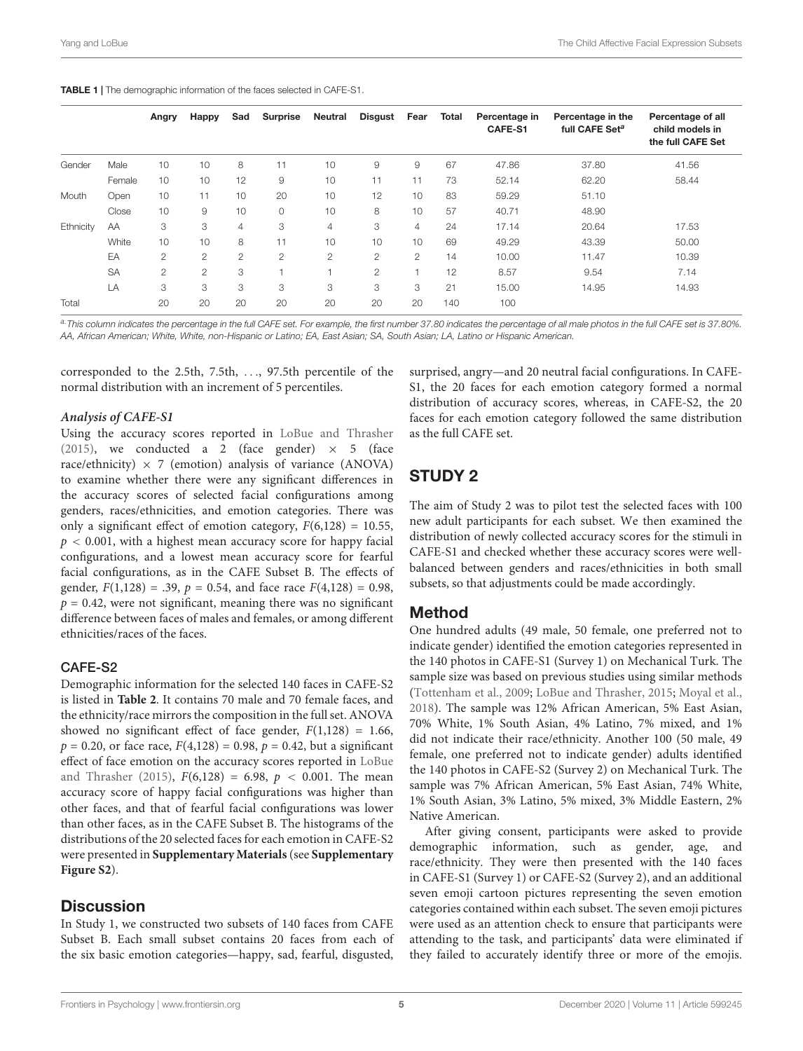<span id="page-4-0"></span>

|           |           | Angry          | Happy          | Sad            | <b>Surprise</b> | Neutral        | <b>Disgust</b> | Fear           | Total | Percentage in<br><b>CAFE-S1</b> | Percentage in the<br>full CAFE Set <sup>a</sup> | Percentage of all<br>child models in<br>the full CAFE Set |
|-----------|-----------|----------------|----------------|----------------|-----------------|----------------|----------------|----------------|-------|---------------------------------|-------------------------------------------------|-----------------------------------------------------------|
| Gender    | Male      | 10             | 10             | 8              | 11              | 10             | 9              | 9              | 67    | 47.86                           | 37.80                                           | 41.56                                                     |
|           | Female    | 10             | 10             | 12             | $\overline{9}$  | 10             | 11             | 11             | 73    | 52.14                           | 62.20                                           | 58.44                                                     |
| Mouth     | Open      | 10             | 11             | 10             | 20              | 10             | 12             | 10             | 83    | 59.29                           | 51.10                                           |                                                           |
|           | Close     | 10             | 9              | 10             | $\circ$         | 10             | 8              | 10             | 57    | 40.71                           | 48.90                                           |                                                           |
| Ethnicity | AA        | 3              | 3              | 4              | 3               | $\overline{4}$ | 3              | $\overline{4}$ | 24    | 17.14                           | 20.64                                           | 17.53                                                     |
|           | White     | 10             | 10             | 8              | 11              | 10             | 10             | 10             | 69    | 49.29                           | 43.39                                           | 50.00                                                     |
|           | EA        | $\overline{2}$ | $\overline{2}$ | $\overline{2}$ | $\overline{2}$  | $\overline{2}$ | 2              | 2              | 14    | 10.00                           | 11.47                                           | 10.39                                                     |
|           | <b>SA</b> | $\overline{2}$ | $\overline{2}$ | 3              |                 |                | 2              |                | 12    | 8.57                            | 9.54                                            | 7.14                                                      |
|           | LA        | 3              | 3              | 3              | 3               | 3              | 3              | 3              | 21    | 15.00                           | 14.95                                           | 14.93                                                     |
| Total     |           | 20             | 20             | 20             | 20              | 20             | 20             | 20             | 140   | 100                             |                                                 |                                                           |

a. This column indicates the percentage in the full CAFE set. For example, the first number 37.80 indicates the percentage of all male photos in the full CAFE set is 37.80%. AA, African American; White, White, non-Hispanic or Latino; EA, East Asian; SA, South Asian; LA, Latino or Hispanic American.

corresponded to the 2.5th, 7.5th, . . ., 97.5th percentile of the normal distribution with an increment of 5 percentiles.

#### **Analysis of CAFE-S1**

Using the accuracy scores reported in [LoBue and Thrasher](#page-7-8) [\(2015\)](#page-7-8), we conducted a 2 (face gender)  $\times$  5 (face race/ethnicity)  $\times$  7 (emotion) analysis of variance (ANOVA) to examine whether there were any significant differences in the accuracy scores of selected facial configurations among genders, races/ethnicities, and emotion categories. There was only a significant effect of emotion category,  $F(6,128) = 10.55$ ,  $p < 0.001$ , with a highest mean accuracy score for happy facial configurations, and a lowest mean accuracy score for fearful facial configurations, as in the CAFE Subset B. The effects of gender,  $F(1,128) = .39$ ,  $p = 0.54$ , and face race  $F(4,128) = 0.98$ ,  $p = 0.42$ , were not significant, meaning there was no significant difference between faces of males and females, or among different ethnicities/races of the faces.

# CAFE-S2

Demographic information for the selected 140 faces in CAFE-S2 is listed in **[Table 2](#page-5-0)**. It contains 70 male and 70 female faces, and the ethnicity/race mirrors the composition in the full set. ANOVA showed no significant effect of face gender,  $F(1,128) = 1.66$ ,  $p = 0.20$ , or face race,  $F(4,128) = 0.98$ ,  $p = 0.42$ , but a significant effect of face emotion on the accuracy scores reported in [LoBue](#page-7-8) [and Thrasher](#page-7-8) [\(2015\)](#page-7-8),  $F(6,128) = 6.98$ ,  $p < 0.001$ . The mean accuracy score of happy facial configurations was higher than other faces, and that of fearful facial configurations was lower than other faces, as in the CAFE Subset B. The histograms of the distributions of the 20 selected faces for each emotion in CAFE-S2 were presented in **[Supplementary Materials](#page-7-9)**(see **[Supplementary](#page-7-9) [Figure S2](#page-7-9)**).

# **Discussion**

In Study 1, we constructed two subsets of 140 faces from CAFE Subset B. Each small subset contains 20 faces from each of the six basic emotion categories—happy, sad, fearful, disgusted,

surprised, angry—and 20 neutral facial configurations. In CAFE-S1, the 20 faces for each emotion category formed a normal distribution of accuracy scores, whereas, in CAFE-S2, the 20 faces for each emotion category followed the same distribution as the full CAFE set.

# STUDY 2

The aim of Study 2 was to pilot test the selected faces with 100 new adult participants for each subset. We then examined the distribution of newly collected accuracy scores for the stimuli in CAFE-S1 and checked whether these accuracy scores were wellbalanced between genders and races/ethnicities in both small subsets, so that adjustments could be made accordingly.

# Method

One hundred adults (49 male, 50 female, one preferred not to indicate gender) identified the emotion categories represented in the 140 photos in CAFE-S1 (Survey 1) on Mechanical Turk. The sample size was based on previous studies using similar methods [\(Tottenham et al.,](#page-7-10) [2009;](#page-7-10) [LoBue and Thrasher,](#page-7-8) [2015;](#page-7-8) [Moyal et al.,](#page-7-11) [2018\)](#page-7-11). The sample was 12% African American, 5% East Asian, 70% White, 1% South Asian, 4% Latino, 7% mixed, and 1% did not indicate their race/ethnicity. Another 100 (50 male, 49 female, one preferred not to indicate gender) adults identified the 140 photos in CAFE-S2 (Survey 2) on Mechanical Turk. The sample was 7% African American, 5% East Asian, 74% White, 1% South Asian, 3% Latino, 5% mixed, 3% Middle Eastern, 2% Native American.

After giving consent, participants were asked to provide demographic information, such as gender, age, and race/ethnicity. They were then presented with the 140 faces in CAFE-S1 (Survey 1) or CAFE-S2 (Survey 2), and an additional seven emoji cartoon pictures representing the seven emotion categories contained within each subset. The seven emoji pictures were used as an attention check to ensure that participants were attending to the task, and participants' data were eliminated if they failed to accurately identify three or more of the emojis.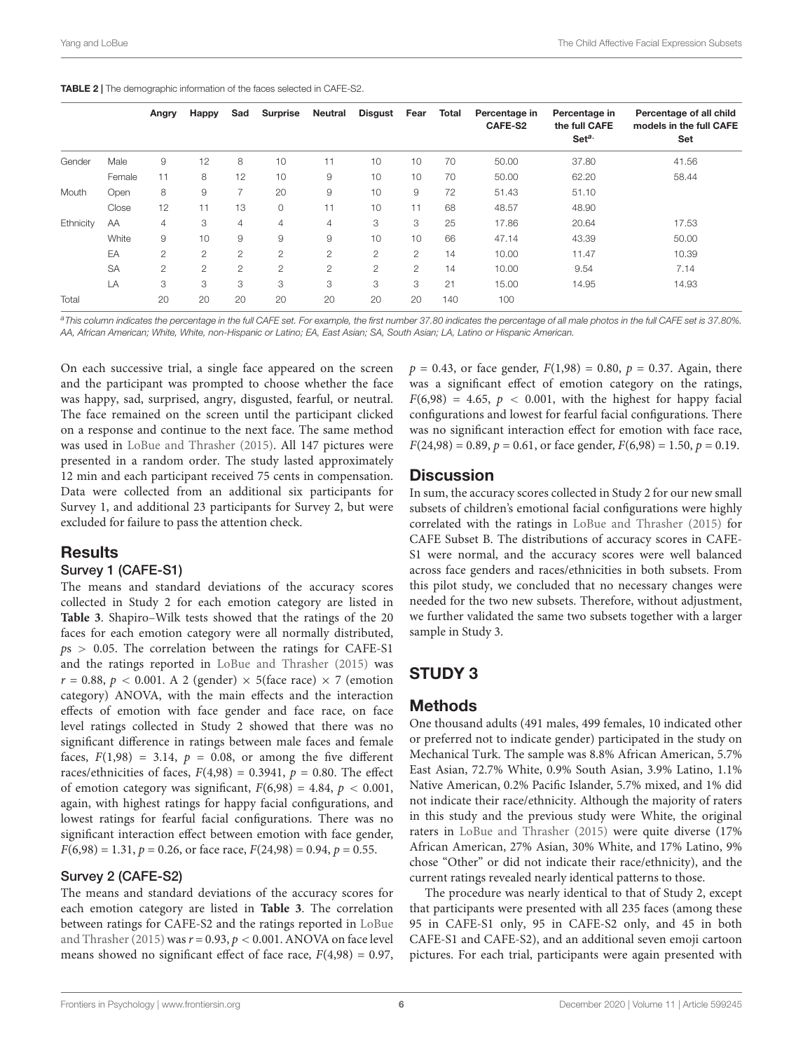<span id="page-5-0"></span>

|           |           | Angry          | Happy          | Sad                   | <b>Surprise</b> | Neutral        | <b>Disgust</b> | Fear           | <b>Total</b> | Percentage in<br>CAFE-S2 | Percentage in<br>the full CAFE<br>Seta. | Percentage of all child<br>models in the full CAFE<br>Set |
|-----------|-----------|----------------|----------------|-----------------------|-----------------|----------------|----------------|----------------|--------------|--------------------------|-----------------------------------------|-----------------------------------------------------------|
| Gender    | Male      | 9              | 12             | 8                     | 10              | 11             | 10             | 10             | 70           | 50.00                    | 37.80                                   | 41.56                                                     |
|           | Female    | 11             | 8              | 12                    | 10              | 9              | 10             | 10             | 70           | 50.00                    | 62.20                                   | 58.44                                                     |
| Mouth     | Open      | 8              | 9              | $\overline{7}$        | 20              | 9              | 10             | 9              | 72           | 51.43                    | 51.10                                   |                                                           |
|           | Close     | 12             | 11             | 13                    | $\circ$         | 11             | 10             | 11             | 68           | 48.57                    | 48.90                                   |                                                           |
| Ethnicity | AA        | $\overline{4}$ | 3              | $\overline{4}$        | 4               | 4              | 3              | 3              | 25           | 17.86                    | 20.64                                   | 17.53                                                     |
|           | White     | 9              | 10             | 9                     | 9               | 9              | 10             | 10             | 66           | 47.14                    | 43.39                                   | 50.00                                                     |
|           | EA        | $\overline{2}$ | $\overline{c}$ | $\mathbf{2}^{\prime}$ | $\overline{c}$  | $\overline{2}$ | $\overline{2}$ | $\overline{2}$ | 14           | 10.00                    | 11.47                                   | 10.39                                                     |
|           | <b>SA</b> | $\overline{2}$ | $\overline{c}$ | $\mathbf{2}$          | $\mathbf{2}$    | $\overline{2}$ | $\overline{2}$ | $\overline{2}$ | 14           | 10.00                    | 9.54                                    | 7.14                                                      |
|           | LA        | 3              | 3              | 3                     | 3               | 3              | 3              | 3              | 21           | 15.00                    | 14.95                                   | 14.93                                                     |
| Total     |           | 20             | 20             | 20                    | 20              | 20             | 20             | 20             | 140          | 100                      |                                         |                                                           |

a This column indicates the percentage in the full CAFE set. For example, the first number 37.80 indicates the percentage of all male photos in the full CAFE set is 37.80%. AA, African American; White, White, non-Hispanic or Latino; EA, East Asian; SA, South Asian; LA, Latino or Hispanic American.

On each successive trial, a single face appeared on the screen and the participant was prompted to choose whether the face was happy, sad, surprised, angry, disgusted, fearful, or neutral. The face remained on the screen until the participant clicked on a response and continue to the next face. The same method was used in [LoBue and Thrasher](#page-7-8) [\(2015\)](#page-7-8). All 147 pictures were presented in a random order. The study lasted approximately 12 min and each participant received 75 cents in compensation. Data were collected from an additional six participants for Survey 1, and additional 23 participants for Survey 2, but were excluded for failure to pass the attention check.

# **Results**

#### Survey 1 (CAFE-S1)

The means and standard deviations of the accuracy scores collected in Study 2 for each emotion category are listed in **[Table 3](#page-6-0)**. Shapiro–Wilk tests showed that the ratings of the 20 faces for each emotion category were all normally distributed,  $ps > 0.05$ . The correlation between the ratings for CAFE-S1 and the ratings reported in [LoBue and Thrasher](#page-7-8) [\(2015\)](#page-7-8) was  $r = 0.88$ ,  $p < 0.001$ . A 2 (gender)  $\times$  5(face race)  $\times$  7 (emotion category) ANOVA, with the main effects and the interaction effects of emotion with face gender and face race, on face level ratings collected in Study 2 showed that there was no significant difference in ratings between male faces and female faces,  $F(1,98) = 3.14$ ,  $p = 0.08$ , or among the five different races/ethnicities of faces,  $F(4,98) = 0.3941$ ,  $p = 0.80$ . The effect of emotion category was significant,  $F(6,98) = 4.84$ ,  $p < 0.001$ , again, with highest ratings for happy facial configurations, and lowest ratings for fearful facial configurations. There was no significant interaction effect between emotion with face gender,  $F(6,98) = 1.31, p = 0.26$ , or face race,  $F(24,98) = 0.94, p = 0.55$ .

# Survey 2 (CAFE-S2)

The means and standard deviations of the accuracy scores for each emotion category are listed in **[Table 3](#page-6-0)**. The correlation between ratings for CAFE-S2 and the ratings reported in [LoBue](#page-7-8) and Thrasher (2015) was  $r = 0.93$ ,  $p < 0.001$ . ANOVA on face level means showed no significant effect of face race,  $F(4,98) = 0.97$ ,

 $p = 0.43$ , or face gender,  $F(1,98) = 0.80$ ,  $p = 0.37$ . Again, there was a significant effect of emotion category on the ratings,  $F(6,98) = 4.65$ ,  $p < 0.001$ , with the highest for happy facial configurations and lowest for fearful facial configurations. There was no significant interaction effect for emotion with face race,  $F(24,98) = 0.89, p = 0.61,$  or face gender,  $F(6,98) = 1.50, p = 0.19$ .

# **Discussion**

In sum, the accuracy scores collected in Study 2 for our new small subsets of children's emotional facial configurations were highly correlated with the ratings in [LoBue and Thrasher](#page-7-8) [\(2015\)](#page-7-8) for CAFE Subset B. The distributions of accuracy scores in CAFE-S1 were normal, and the accuracy scores were well balanced across face genders and races/ethnicities in both subsets. From this pilot study, we concluded that no necessary changes were needed for the two new subsets. Therefore, without adjustment, we further validated the same two subsets together with a larger sample in Study 3.

# STUDY 3

# Methods

One thousand adults (491 males, 499 females, 10 indicated other or preferred not to indicate gender) participated in the study on Mechanical Turk. The sample was 8.8% African American, 5.7% East Asian, 72.7% White, 0.9% South Asian, 3.9% Latino, 1.1% Native American, 0.2% Pacific Islander, 5.7% mixed, and 1% did not indicate their race/ethnicity. Although the majority of raters in this study and the previous study were White, the original raters in [LoBue and Thrasher](#page-7-8) [\(2015\)](#page-7-8) were quite diverse (17% African American, 27% Asian, 30% White, and 17% Latino, 9% chose "Other" or did not indicate their race/ethnicity), and the current ratings revealed nearly identical patterns to those.

The procedure was nearly identical to that of Study 2, except that participants were presented with all 235 faces (among these 95 in CAFE-S1 only, 95 in CAFE-S2 only, and 45 in both CAFE-S1 and CAFE-S2), and an additional seven emoji cartoon pictures. For each trial, participants were again presented with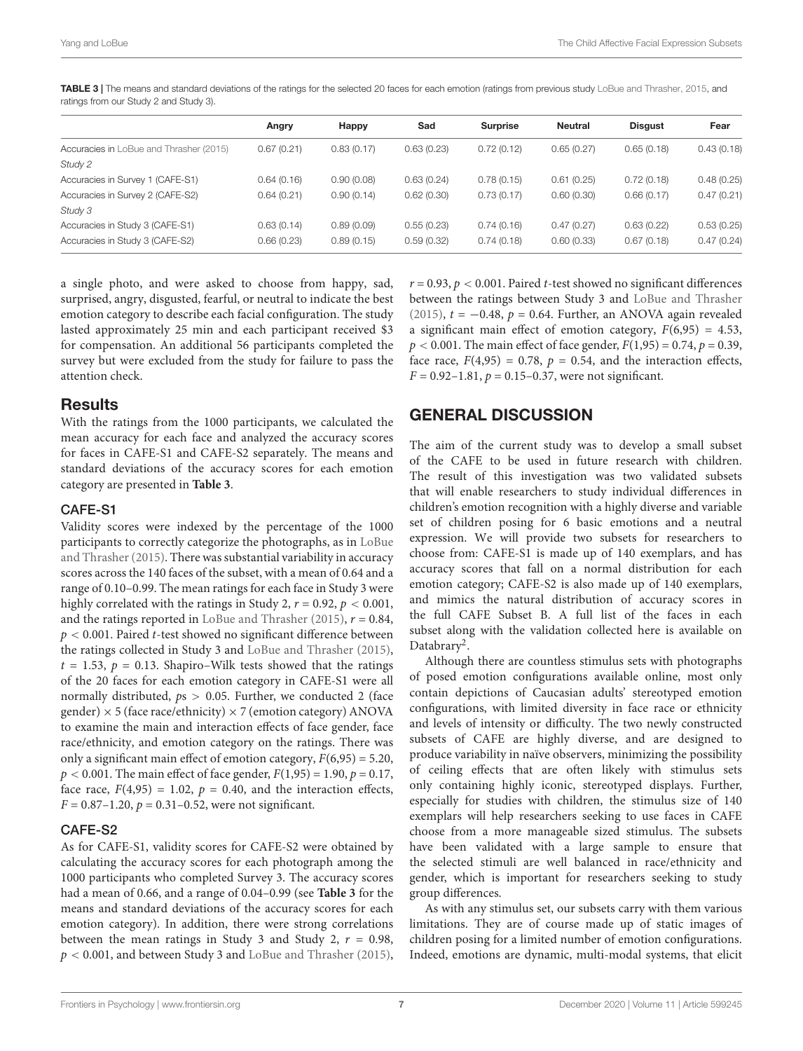|                                         | Angry      | Happy      | Sad        | <b>Surprise</b> | <b>Neutral</b> | <b>Disgust</b> | Fear       |
|-----------------------------------------|------------|------------|------------|-----------------|----------------|----------------|------------|
|                                         |            |            |            |                 |                |                |            |
| Accuracies in LoBue and Thrasher (2015) | 0.67(0.21) | 0.83(0.17) | 0.63(0.23) | 0.72(0.12)      | 0.65(0.27)     | 0.65(0.18)     | 0.43(0.18) |
| Study 2                                 |            |            |            |                 |                |                |            |
| Accuracies in Survey 1 (CAFE-S1)        | 0.64(0.16) | 0.90(0.08) | 0.63(0.24) | 0.78(0.15)      | 0.61(0.25)     | 0.72(0.18)     | 0.48(0.25) |
| Accuracies in Survey 2 (CAFE-S2)        | 0.64(0.21) | 0.90(0.14) | 0.62(0.30) | 0.73(0.17)      | 0.60(0.30)     | 0.66(0.17)     | 0.47(0.21) |
| Study 3                                 |            |            |            |                 |                |                |            |
| Accuracies in Study 3 (CAFE-S1)         | 0.63(0.14) | 0.89(0.09) | 0.55(0.23) | 0.74(0.16)      | 0.47(0.27)     | 0.63(0.22)     | 0.53(0.25) |
| Accuracies in Study 3 (CAFE-S2)         | 0.66(0.23) | 0.89(0.15) | 0.59(0.32) | 0.74(0.18)      | 0.60(0.33)     | 0.67(0.18)     | 0.47(0.24) |

<span id="page-6-0"></span>TABLE 3 | The means and standard deviations of the ratings for the selected 20 faces for each emotion (ratings from previous study [LoBue and Thrasher,](#page-7-8) [2015,](#page-7-8) and ratings from our Study 2 and Study 3).

a single photo, and were asked to choose from happy, sad, surprised, angry, disgusted, fearful, or neutral to indicate the best emotion category to describe each facial configuration. The study lasted approximately 25 min and each participant received \$3 for compensation. An additional 56 participants completed the survey but were excluded from the study for failure to pass the attention check.

# **Results**

With the ratings from the 1000 participants, we calculated the mean accuracy for each face and analyzed the accuracy scores for faces in CAFE-S1 and CAFE-S2 separately. The means and standard deviations of the accuracy scores for each emotion category are presented in **[Table 3](#page-6-0)**.

## CAFE-S1

Validity scores were indexed by the percentage of the 1000 participants to correctly categorize the photographs, as in [LoBue](#page-7-8) and Thrasher (2015). There was substantial variability in accuracy scores across the 140 faces of the subset, with a mean of 0.64 and a range of 0.10–0.99. The mean ratings for each face in Study 3 were highly correlated with the ratings in Study 2,  $r = 0.92$ ,  $p < 0.001$ , and the ratings reported in [LoBue and Thrasher](#page-7-8) [\(2015\)](#page-7-8),  $r = 0.84$ ,  $p < 0.001$ . Paired *t*-test showed no significant difference between the ratings collected in Study 3 and [LoBue and Thrasher](#page-7-8) [\(2015\)](#page-7-8),  $t = 1.53$ ,  $p = 0.13$ . Shapiro–Wilk tests showed that the ratings of the 20 faces for each emotion category in CAFE-S1 were all normally distributed,  $ps > 0.05$ . Further, we conducted 2 (face gender)  $\times$  5 (face race/ethnicity)  $\times$  7 (emotion category) ANOVA to examine the main and interaction effects of face gender, face race/ethnicity, and emotion category on the ratings. There was only a significant main effect of emotion category,  $F(6,95) = 5.20$ ,  $p < 0.001$ . The main effect of face gender,  $F(1,95) = 1.90$ ,  $p = 0.17$ , face race,  $F(4,95) = 1.02$ ,  $p = 0.40$ , and the interaction effects,  $F = 0.87 - 1.20$ ,  $p = 0.31 - 0.52$ , were not significant.

# CAFE-S2

As for CAFE-S1, validity scores for CAFE-S2 were obtained by calculating the accuracy scores for each photograph among the 1000 participants who completed Survey 3. The accuracy scores had a mean of 0.66, and a range of 0.04–0.99 (see **[Table 3](#page-6-0)** for the means and standard deviations of the accuracy scores for each emotion category). In addition, there were strong correlations between the mean ratings in Study 3 and Study 2,  $r = 0.98$ ,  $p < 0.001$ , and between Study 3 and [LoBue and Thrasher](#page-7-8) [\(2015\)](#page-7-8),

 $r = 0.93$ ,  $p < 0.001$ . Paired t-test showed no significant differences between the ratings between Study 3 and [LoBue and Thrasher](#page-7-8) [\(2015\)](#page-7-8),  $t = -0.48$ ,  $p = 0.64$ . Further, an ANOVA again revealed a significant main effect of emotion category,  $F(6,95) = 4.53$ ,  $p < 0.001$ . The main effect of face gender,  $F(1,95) = 0.74$ ,  $p = 0.39$ , face race,  $F(4,95) = 0.78$ ,  $p = 0.54$ , and the interaction effects,  $F = 0.92 - 1.81$ ,  $p = 0.15 - 0.37$ , were not significant.

# GENERAL DISCUSSION

The aim of the current study was to develop a small subset of the CAFE to be used in future research with children. The result of this investigation was two validated subsets that will enable researchers to study individual differences in children's emotion recognition with a highly diverse and variable set of children posing for 6 basic emotions and a neutral expression. We will provide two subsets for researchers to choose from: CAFE-S1 is made up of 140 exemplars, and has accuracy scores that fall on a normal distribution for each emotion category; CAFE-S2 is also made up of 140 exemplars, and mimics the natural distribution of accuracy scores in the full CAFE Subset B. A full list of the faces in each subset along with the validation collected here is available on Databrary<sup>2</sup>.

Although there are countless stimulus sets with photographs of posed emotion configurations available online, most only contain depictions of Caucasian adults' stereotyped emotion configurations, with limited diversity in face race or ethnicity and levels of intensity or difficulty. The two newly constructed subsets of CAFE are highly diverse, and are designed to produce variability in naïve observers, minimizing the possibility of ceiling effects that are often likely with stimulus sets only containing highly iconic, stereotyped displays. Further, especially for studies with children, the stimulus size of 140 exemplars will help researchers seeking to use faces in CAFE choose from a more manageable sized stimulus. The subsets have been validated with a large sample to ensure that the selected stimuli are well balanced in race/ethnicity and gender, which is important for researchers seeking to study group differences.

As with any stimulus set, our subsets carry with them various limitations. They are of course made up of static images of children posing for a limited number of emotion configurations. Indeed, emotions are dynamic, multi-modal systems, that elicit